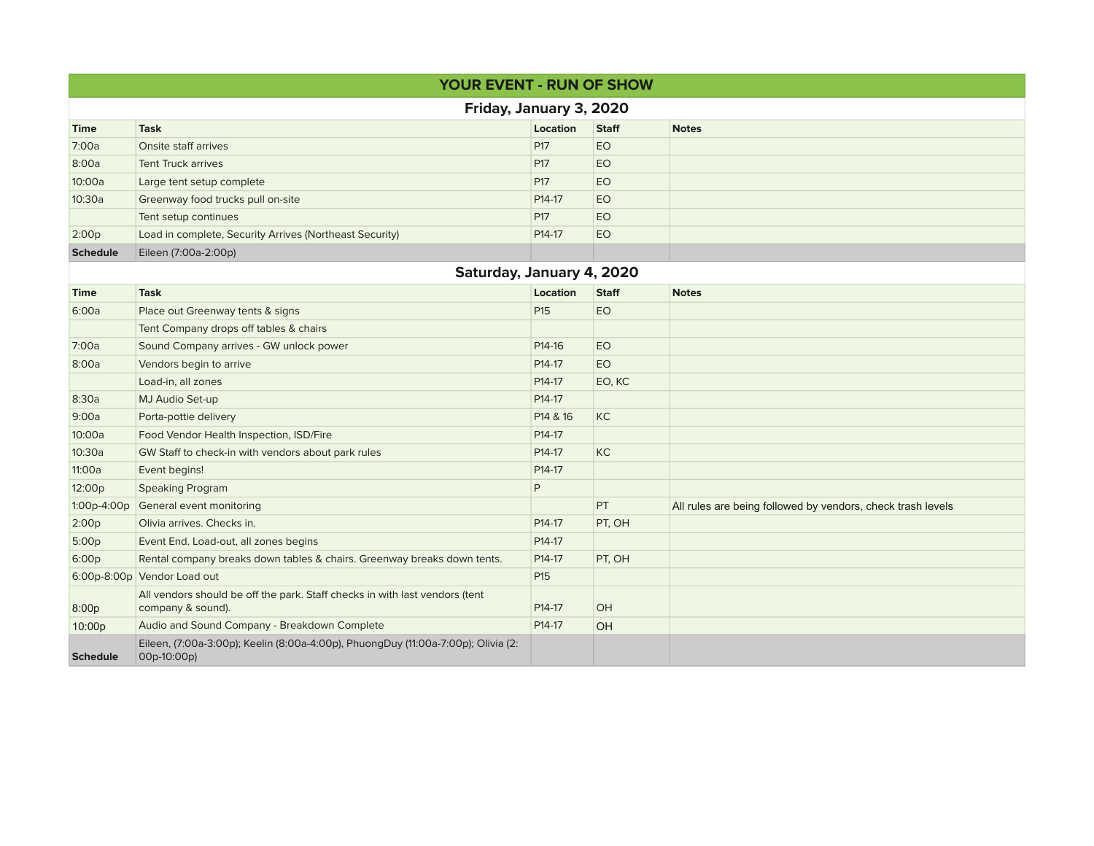|                           | <b>YOUR EVENT - RUN OF SHOW</b>                                                                  |                     |              |                                                             |  |  |  |  |  |
|---------------------------|--------------------------------------------------------------------------------------------------|---------------------|--------------|-------------------------------------------------------------|--|--|--|--|--|
| Friday, January 3, 2020   |                                                                                                  |                     |              |                                                             |  |  |  |  |  |
| <b>Time</b>               | <b>Task</b>                                                                                      | Location            | <b>Staff</b> | <b>Notes</b>                                                |  |  |  |  |  |
| 7:00a                     | Onsite staff arrives                                                                             | P <sub>17</sub>     | EO           |                                                             |  |  |  |  |  |
| 8:00a                     | <b>Tent Truck arrives</b>                                                                        | P17                 | EO           |                                                             |  |  |  |  |  |
| 10:00a                    | Large tent setup complete                                                                        | P17                 | EO           |                                                             |  |  |  |  |  |
| 10:30a                    | Greenway food trucks pull on-site                                                                | P14-17              | EO           |                                                             |  |  |  |  |  |
|                           | Tent setup continues                                                                             | P17                 | EO           |                                                             |  |  |  |  |  |
| 2:00p                     | Load in complete, Security Arrives (Northeast Security)                                          | P14-17              | EO           |                                                             |  |  |  |  |  |
| <b>Schedule</b>           | Eileen (7:00a-2:00p)                                                                             |                     |              |                                                             |  |  |  |  |  |
| Saturday, January 4, 2020 |                                                                                                  |                     |              |                                                             |  |  |  |  |  |
| <b>Time</b>               | <b>Task</b>                                                                                      | Location            | <b>Staff</b> | <b>Notes</b>                                                |  |  |  |  |  |
| 6:00a                     | Place out Greenway tents & signs                                                                 | P15                 | EO           |                                                             |  |  |  |  |  |
|                           | Tent Company drops off tables & chairs                                                           |                     |              |                                                             |  |  |  |  |  |
| 7:00a                     | Sound Company arrives - GW unlock power                                                          | P14-16              | EO           |                                                             |  |  |  |  |  |
| 8:00a                     | Vendors begin to arrive                                                                          | P14-17              | EO           |                                                             |  |  |  |  |  |
|                           | Load-in, all zones                                                                               | P14-17              | EO, KC       |                                                             |  |  |  |  |  |
| 8:30a                     | MJ Audio Set-up                                                                                  | P14-17              |              |                                                             |  |  |  |  |  |
| 9:00a                     | Porta-pottie delivery                                                                            | P14 & 16            | KC           |                                                             |  |  |  |  |  |
| 10:00a                    | Food Vendor Health Inspection, ISD/Fire                                                          | P <sub>14</sub> -17 |              |                                                             |  |  |  |  |  |
| 10:30a                    | GW Staff to check-in with vendors about park rules                                               | P <sub>14</sub> -17 | KC           |                                                             |  |  |  |  |  |
| 11:00a                    | Event begins!                                                                                    | P14-17              |              |                                                             |  |  |  |  |  |
| 12:00p                    | <b>Speaking Program</b>                                                                          | P                   |              |                                                             |  |  |  |  |  |
| 1:00p-4:00p               | General event monitoring                                                                         |                     | PT           | All rules are being followed by vendors, check trash levels |  |  |  |  |  |
| 2:00p                     | Olivia arrives. Checks in.                                                                       | P14-17              | PT, OH       |                                                             |  |  |  |  |  |
| 5:00p                     | Event End. Load-out, all zones begins                                                            | P14-17              |              |                                                             |  |  |  |  |  |
| 6:00p                     | Rental company breaks down tables & chairs. Greenway breaks down tents.                          | P14-17              | PT, OH       |                                                             |  |  |  |  |  |
|                           | 6:00p-8:00p Vendor Load out                                                                      | P15                 |              |                                                             |  |  |  |  |  |
| 8:00p                     | All vendors should be off the park. Staff checks in with last vendors (tent<br>company & sound). | P14-17              | OH           |                                                             |  |  |  |  |  |
| 10:00p                    | Audio and Sound Company - Breakdown Complete                                                     | P14-17              | <b>OH</b>    |                                                             |  |  |  |  |  |
| <b>Schedule</b>           | Eileen, (7:00a-3:00p); Keelin (8:00a-4:00p), PhuongDuy (11:00a-7:00p); Olivia (2:<br>00p-10:00p) |                     |              |                                                             |  |  |  |  |  |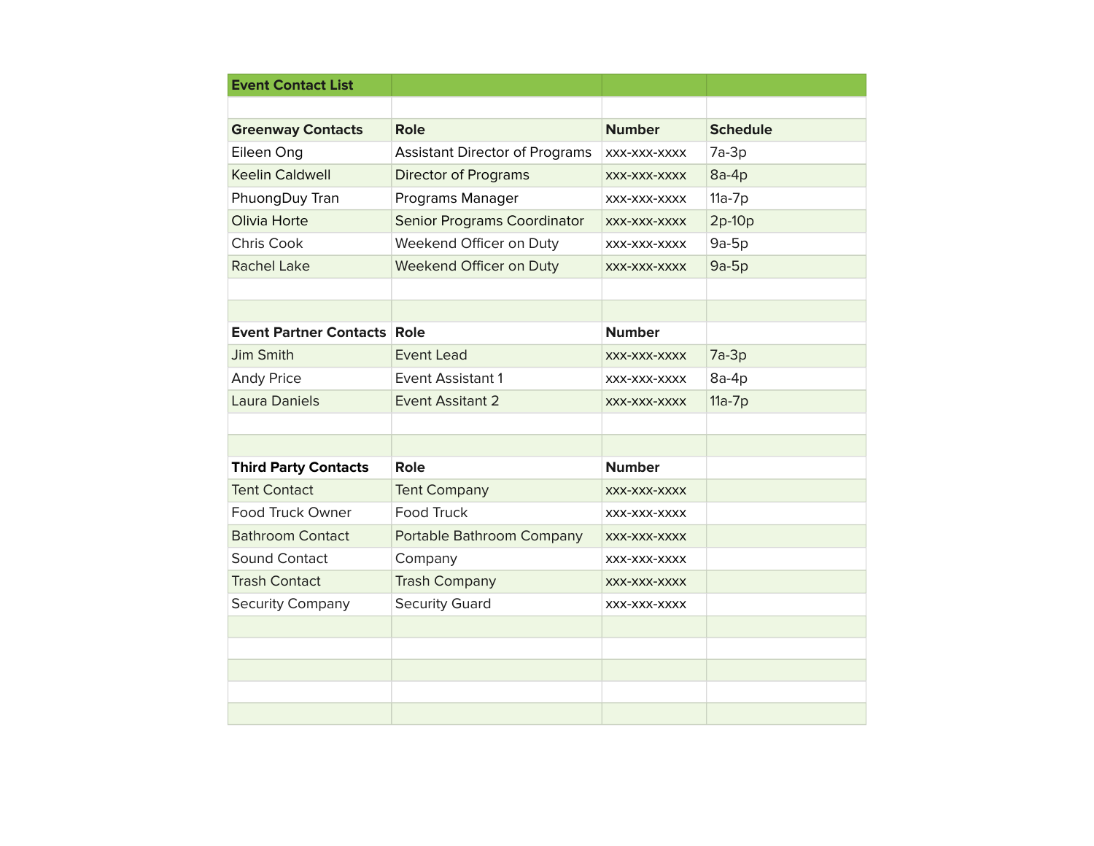| <b>Event Contact List</b>          |                                       |               |                 |
|------------------------------------|---------------------------------------|---------------|-----------------|
|                                    |                                       |               |                 |
| <b>Greenway Contacts</b>           | Role                                  | <b>Number</b> | <b>Schedule</b> |
| Eileen Ong                         | <b>Assistant Director of Programs</b> | XXX-XXX-XXXX  | $7a-3p$         |
| <b>Keelin Caldwell</b>             | <b>Director of Programs</b>           | XXX-XXX-XXXX  | $8a-4p$         |
| PhuongDuy Tran                     | Programs Manager                      | XXX-XXX-XXXX  | $11a-7p$        |
| Olivia Horte                       | <b>Senior Programs Coordinator</b>    | XXX-XXX-XXXX  | $2p-10p$        |
| Chris Cook                         | Weekend Officer on Duty               | XXX-XXX-XXXX  | $9a-5p$         |
| <b>Rachel Lake</b>                 | Weekend Officer on Duty               | XXX-XXX-XXXX  | $9a-5p$         |
|                                    |                                       |               |                 |
|                                    |                                       |               |                 |
| <b>Event Partner Contacts Role</b> |                                       | <b>Number</b> |                 |
| <b>Jim Smith</b>                   | <b>Event Lead</b>                     | XXX-XXX-XXXX  | $7a-3p$         |
| <b>Andy Price</b>                  | <b>Event Assistant 1</b>              | XXX-XXX-XXXX  | $8a-4p$         |
| Laura Daniels                      | <b>Event Assitant 2</b>               | XXX-XXX-XXXX  | $11a-7p$        |
|                                    |                                       |               |                 |
|                                    |                                       |               |                 |
| <b>Third Party Contacts</b>        | Role                                  | <b>Number</b> |                 |
| <b>Tent Contact</b>                | <b>Tent Company</b>                   | XXX-XXX-XXXX  |                 |
| Food Truck Owner                   | <b>Food Truck</b>                     | XXX-XXX-XXXX  |                 |
| <b>Bathroom Contact</b>            | Portable Bathroom Company             | XXX-XXX-XXXX  |                 |
| Sound Contact                      | Company                               | XXX-XXX-XXXX  |                 |
| <b>Trash Contact</b>               | <b>Trash Company</b>                  | XXX-XXX-XXXX  |                 |
| <b>Security Company</b>            | <b>Security Guard</b>                 | XXX-XXX-XXXX  |                 |
|                                    |                                       |               |                 |
|                                    |                                       |               |                 |
|                                    |                                       |               |                 |
|                                    |                                       |               |                 |
|                                    |                                       |               |                 |